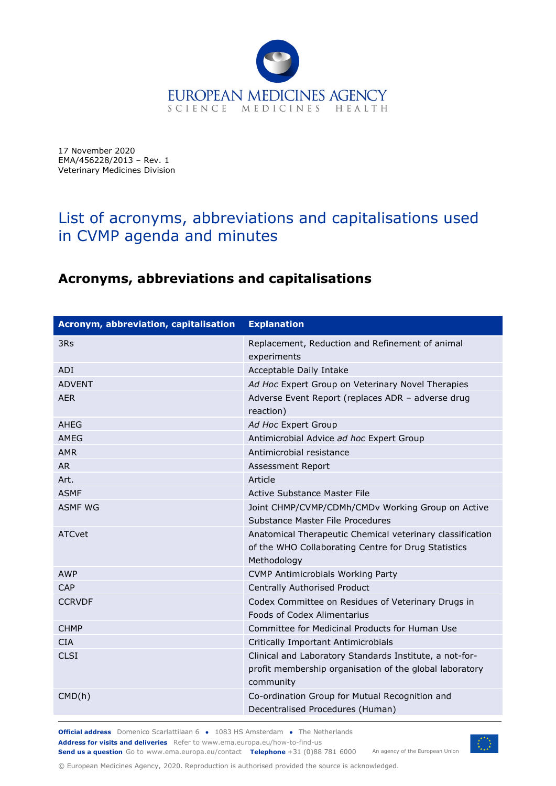

17 November 2020 EMA/456228/2013 – Rev. 1 Veterinary Medicines Division

## List of acronyms, abbreviations and capitalisations used in CVMP agenda and minutes

## **Acronyms, abbreviations and capitalisations**

| Acronym, abbreviation, capitalisation | <b>Explanation</b>                                                                                                              |
|---------------------------------------|---------------------------------------------------------------------------------------------------------------------------------|
| 3Rs                                   | Replacement, Reduction and Refinement of animal<br>experiments                                                                  |
| ADI                                   | Acceptable Daily Intake                                                                                                         |
| <b>ADVENT</b>                         | Ad Hoc Expert Group on Veterinary Novel Therapies                                                                               |
| <b>AER</b>                            | Adverse Event Report (replaces ADR - adverse drug<br>reaction)                                                                  |
| AHEG                                  | Ad Hoc Expert Group                                                                                                             |
| AMFG                                  | Antimicrobial Advice ad hoc Expert Group                                                                                        |
| <b>AMR</b>                            | Antimicrobial resistance                                                                                                        |
| <b>AR</b>                             | Assessment Report                                                                                                               |
| Art.                                  | Article                                                                                                                         |
| <b>ASMF</b>                           | Active Substance Master File                                                                                                    |
| <b>ASMF WG</b>                        | Joint CHMP/CVMP/CDMh/CMDv Working Group on Active<br>Substance Master File Procedures                                           |
| ATCvet                                | Anatomical Therapeutic Chemical veterinary classification<br>of the WHO Collaborating Centre for Drug Statistics<br>Methodology |
| <b>AWP</b>                            | <b>CVMP Antimicrobials Working Party</b>                                                                                        |
| CAP                                   | Centrally Authorised Product                                                                                                    |
| <b>CCRVDF</b>                         | Codex Committee on Residues of Veterinary Drugs in<br>Foods of Codex Alimentarius                                               |
| <b>CHMP</b>                           | Committee for Medicinal Products for Human Use                                                                                  |
| <b>CIA</b>                            | Critically Important Antimicrobials                                                                                             |
| <b>CLSI</b>                           | Clinical and Laboratory Standards Institute, a not-for-<br>profit membership organisation of the global laboratory<br>community |
| CMD(h)                                | Co-ordination Group for Mutual Recognition and<br>Decentralised Procedures (Human)                                              |

**Official address** Domenico Scarlattilaan 6 **●** 1083 HS Amsterdam **●** The Netherlands An agency of the European Union **Address for visits and deliveries** Refer to www.ema.europa.eu/how-to-find-us **Send us a question** Go to www.ema.europa.eu/contact **Telephone** +31 (0)88 781 6000



© European Medicines Agency, 2020. Reproduction is authorised provided the source is acknowledged.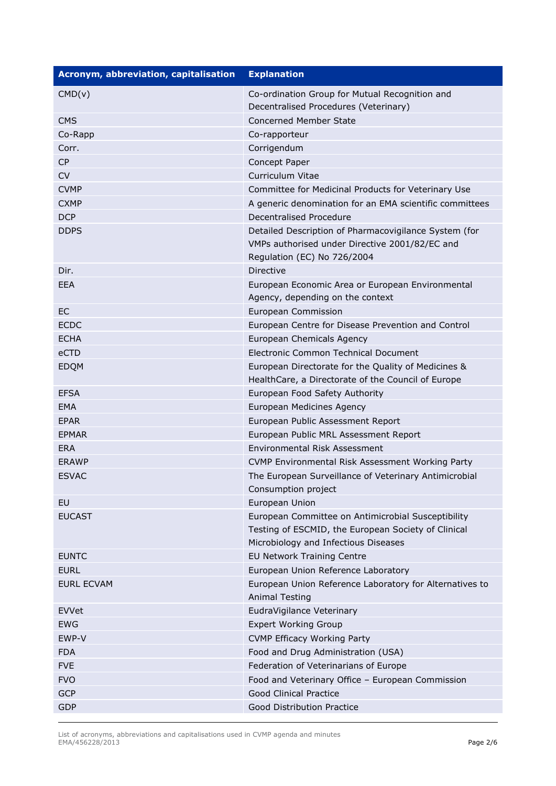| <b>Acronym, abbreviation, capitalisation</b> | <b>Explanation</b>                                                                                                                                |
|----------------------------------------------|---------------------------------------------------------------------------------------------------------------------------------------------------|
| CMD(v)                                       | Co-ordination Group for Mutual Recognition and                                                                                                    |
|                                              | Decentralised Procedures (Veterinary)                                                                                                             |
| <b>CMS</b>                                   | <b>Concerned Member State</b>                                                                                                                     |
| Co-Rapp                                      | Co-rapporteur                                                                                                                                     |
| Corr.                                        | Corrigendum                                                                                                                                       |
| <b>CP</b>                                    | Concept Paper                                                                                                                                     |
| <b>CV</b>                                    | Curriculum Vitae                                                                                                                                  |
| <b>CVMP</b>                                  | Committee for Medicinal Products for Veterinary Use                                                                                               |
| <b>CXMP</b>                                  | A generic denomination for an EMA scientific committees                                                                                           |
| <b>DCP</b>                                   | Decentralised Procedure                                                                                                                           |
| <b>DDPS</b>                                  | Detailed Description of Pharmacovigilance System (for<br>VMPs authorised under Directive 2001/82/EC and<br>Regulation (EC) No 726/2004            |
| Dir.                                         | Directive                                                                                                                                         |
| EEA                                          | European Economic Area or European Environmental<br>Agency, depending on the context                                                              |
| <b>EC</b>                                    | European Commission                                                                                                                               |
| <b>ECDC</b>                                  | European Centre for Disease Prevention and Control                                                                                                |
| <b>ECHA</b>                                  | European Chemicals Agency                                                                                                                         |
| eCTD                                         | Electronic Common Technical Document                                                                                                              |
| <b>EDQM</b>                                  | European Directorate for the Quality of Medicines &<br>HealthCare, a Directorate of the Council of Europe                                         |
| <b>EFSA</b>                                  | European Food Safety Authority                                                                                                                    |
| <b>EMA</b>                                   | European Medicines Agency                                                                                                                         |
| <b>EPAR</b>                                  | European Public Assessment Report                                                                                                                 |
| <b>EPMAR</b>                                 | European Public MRL Assessment Report                                                                                                             |
| <b>ERA</b>                                   | Environmental Risk Assessment                                                                                                                     |
| <b>ERAWP</b>                                 | CVMP Environmental Risk Assessment Working Party                                                                                                  |
| <b>ESVAC</b>                                 | The European Surveillance of Veterinary Antimicrobial<br>Consumption project                                                                      |
| EU                                           | European Union                                                                                                                                    |
| <b>EUCAST</b>                                | European Committee on Antimicrobial Susceptibility<br>Testing of ESCMID, the European Society of Clinical<br>Microbiology and Infectious Diseases |
| <b>EUNTC</b>                                 | <b>EU Network Training Centre</b>                                                                                                                 |
| <b>EURL</b>                                  | European Union Reference Laboratory                                                                                                               |
| <b>EURL ECVAM</b>                            | European Union Reference Laboratory for Alternatives to<br><b>Animal Testing</b>                                                                  |
| EVVet                                        | EudraVigilance Veterinary                                                                                                                         |
| <b>EWG</b>                                   | <b>Expert Working Group</b>                                                                                                                       |
| EWP-V                                        | <b>CVMP Efficacy Working Party</b>                                                                                                                |
| <b>FDA</b>                                   | Food and Drug Administration (USA)                                                                                                                |
| <b>FVE</b>                                   | Federation of Veterinarians of Europe                                                                                                             |
| <b>FVO</b>                                   | Food and Veterinary Office - European Commission                                                                                                  |
| <b>GCP</b>                                   | <b>Good Clinical Practice</b>                                                                                                                     |
| <b>GDP</b>                                   | Good Distribution Practice                                                                                                                        |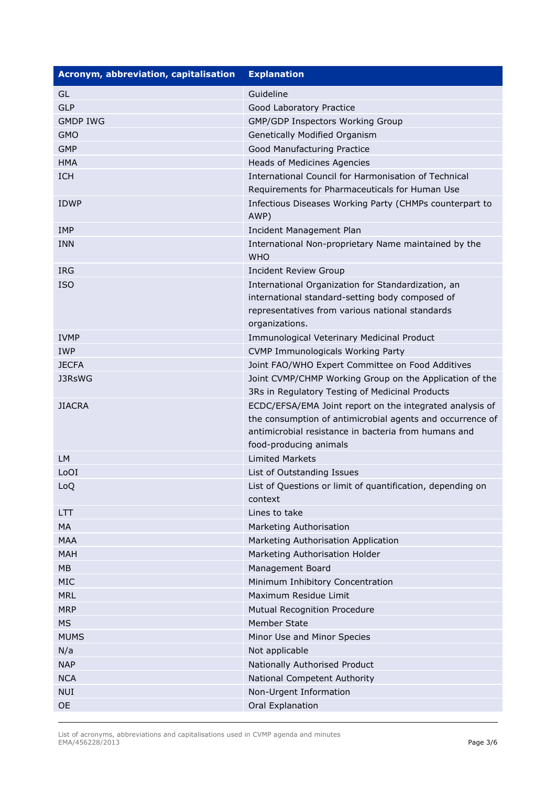| Acronym, abbreviation, capitalisation | <b>Explanation</b>                                                                                         |
|---------------------------------------|------------------------------------------------------------------------------------------------------------|
| GL                                    | Guideline                                                                                                  |
| <b>GLP</b>                            | Good Laboratory Practice                                                                                   |
| <b>GMDP IWG</b>                       | GMP/GDP Inspectors Working Group                                                                           |
| <b>GMO</b>                            | Genetically Modified Organism                                                                              |
| <b>GMP</b>                            | Good Manufacturing Practice                                                                                |
| <b>HMA</b>                            | Heads of Medicines Agencies                                                                                |
| <b>ICH</b>                            | International Council for Harmonisation of Technical                                                       |
|                                       | Requirements for Pharmaceuticals for Human Use                                                             |
| <b>IDWP</b>                           | Infectious Diseases Working Party (CHMPs counterpart to<br>AWP)                                            |
| <b>IMP</b>                            | Incident Management Plan                                                                                   |
| <b>INN</b>                            | International Non-proprietary Name maintained by the<br><b>WHO</b>                                         |
| <b>IRG</b>                            | <b>Incident Review Group</b>                                                                               |
| <b>ISO</b>                            | International Organization for Standardization, an                                                         |
|                                       | international standard-setting body composed of                                                            |
|                                       | representatives from various national standards                                                            |
|                                       | organizations.                                                                                             |
| <b>IVMP</b>                           | Immunological Veterinary Medicinal Product                                                                 |
| <b>IWP</b>                            | <b>CVMP Immunologicals Working Party</b>                                                                   |
| <b>JECFA</b>                          | Joint FAO/WHO Expert Committee on Food Additives                                                           |
| J3RsWG                                | Joint CVMP/CHMP Working Group on the Application of the<br>3Rs in Regulatory Testing of Medicinal Products |
| <b>JIACRA</b>                         | ECDC/EFSA/EMA Joint report on the integrated analysis of                                                   |
|                                       | the consumption of antimicrobial agents and occurrence of                                                  |
|                                       | antimicrobial resistance in bacteria from humans and<br>food-producing animals                             |
| <b>LM</b>                             | <b>Limited Markets</b>                                                                                     |
| LoOI                                  | List of Outstanding Issues                                                                                 |
| LoQ                                   | List of Questions or limit of quantification, depending on                                                 |
|                                       | context                                                                                                    |
| LTT                                   | Lines to take                                                                                              |
| MA                                    | Marketing Authorisation                                                                                    |
| <b>MAA</b>                            | Marketing Authorisation Application                                                                        |
| <b>MAH</b>                            | Marketing Authorisation Holder                                                                             |
| MB                                    | Management Board                                                                                           |
| MIC                                   | Minimum Inhibitory Concentration                                                                           |
| <b>MRL</b>                            | Maximum Residue Limit                                                                                      |
| <b>MRP</b>                            | Mutual Recognition Procedure                                                                               |
| <b>MS</b>                             | Member State                                                                                               |
| <b>MUMS</b>                           | Minor Use and Minor Species                                                                                |
| N/a                                   | Not applicable                                                                                             |
| <b>NAP</b>                            | Nationally Authorised Product                                                                              |
| <b>NCA</b>                            | National Competent Authority                                                                               |
| <b>NUI</b>                            | Non-Urgent Information                                                                                     |
| <b>OE</b>                             | Oral Explanation                                                                                           |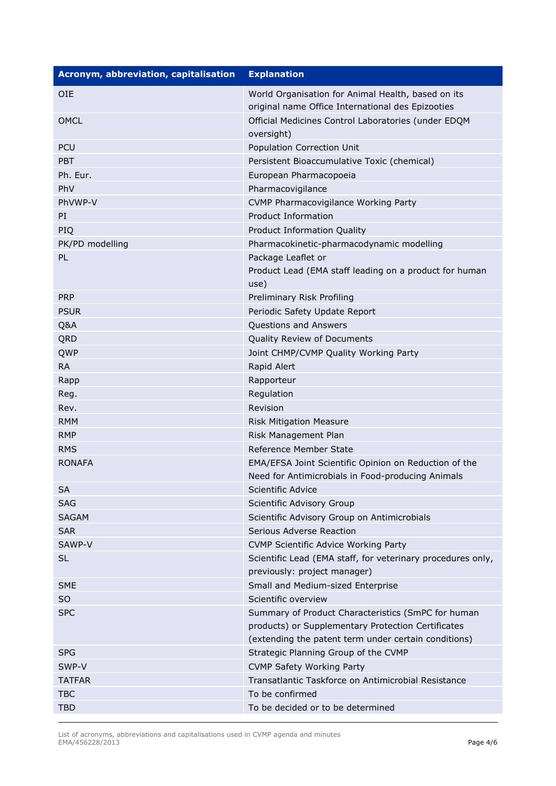| Acronym, abbreviation, capitalisation | <b>Explanation</b>                                             |
|---------------------------------------|----------------------------------------------------------------|
| <b>OIE</b>                            | World Organisation for Animal Health, based on its             |
|                                       | original name Office International des Epizooties              |
| <b>OMCL</b>                           | Official Medicines Control Laboratories (under EDQM            |
|                                       | oversight)                                                     |
| <b>PCU</b>                            | Population Correction Unit                                     |
| <b>PBT</b>                            | Persistent Bioaccumulative Toxic (chemical)                    |
| Ph. Eur.                              | European Pharmacopoeia                                         |
| PhV                                   | Pharmacovigilance                                              |
| PhVWP-V                               | CVMP Pharmacovigilance Working Party                           |
| PI                                    | <b>Product Information</b>                                     |
| PIQ                                   | Product Information Quality                                    |
| PK/PD modelling                       | Pharmacokinetic-pharmacodynamic modelling                      |
| PL                                    | Package Leaflet or                                             |
|                                       | Product Lead (EMA staff leading on a product for human<br>use) |
| <b>PRP</b>                            | Preliminary Risk Profiling                                     |
| <b>PSUR</b>                           | Periodic Safety Update Report                                  |
| Q&A                                   | Questions and Answers                                          |
| QRD                                   | Quality Review of Documents                                    |
| QWP                                   | Joint CHMP/CVMP Quality Working Party                          |
| <b>RA</b>                             | Rapid Alert                                                    |
| Rapp                                  | Rapporteur                                                     |
| Reg.                                  | Regulation                                                     |
| Rev.                                  | Revision                                                       |
| <b>RMM</b>                            | <b>Risk Mitigation Measure</b>                                 |
| <b>RMP</b>                            | Risk Management Plan                                           |
| <b>RMS</b>                            | Reference Member State                                         |
| <b>RONAFA</b>                         | EMA/EFSA Joint Scientific Opinion on Reduction of the          |
|                                       | Need for Antimicrobials in Food-producing Animals              |
| <b>SA</b>                             | Scientific Advice                                              |
| <b>SAG</b>                            | Scientific Advisory Group                                      |
| <b>SAGAM</b>                          | Scientific Advisory Group on Antimicrobials                    |
| <b>SAR</b>                            | Serious Adverse Reaction                                       |
| SAWP-V                                | <b>CVMP Scientific Advice Working Party</b>                    |
| SL                                    | Scientific Lead (EMA staff, for veterinary procedures only,    |
|                                       | previously: project manager)                                   |
| <b>SME</b>                            | Small and Medium-sized Enterprise                              |
| SO                                    | Scientific overview                                            |
| <b>SPC</b>                            | Summary of Product Characteristics (SmPC for human             |
|                                       | products) or Supplementary Protection Certificates             |
|                                       | (extending the patent term under certain conditions)           |
| <b>SPG</b>                            | Strategic Planning Group of the CVMP                           |
| SWP-V                                 | <b>CVMP Safety Working Party</b>                               |
| <b>TATFAR</b>                         | Transatlantic Taskforce on Antimicrobial Resistance            |
| <b>TBC</b>                            | To be confirmed                                                |
| <b>TBD</b>                            | To be decided or to be determined                              |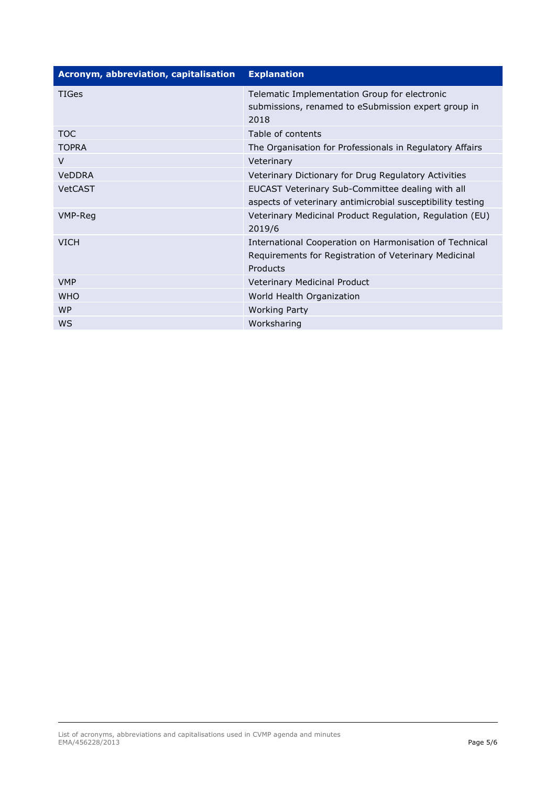| Acronym, abbreviation, capitalisation | <b>Explanation</b>                                                                                                           |
|---------------------------------------|------------------------------------------------------------------------------------------------------------------------------|
| <b>TIGes</b>                          | Telematic Implementation Group for electronic<br>submissions, renamed to eSubmission expert group in<br>2018                 |
| <b>TOC</b>                            | Table of contents                                                                                                            |
| <b>TOPRA</b>                          | The Organisation for Professionals in Regulatory Affairs                                                                     |
| $\vee$                                | Veterinary                                                                                                                   |
| <b>VeDDRA</b>                         | Veterinary Dictionary for Drug Regulatory Activities                                                                         |
| <b>VetCAST</b>                        | EUCAST Veterinary Sub-Committee dealing with all<br>aspects of veterinary antimicrobial susceptibility testing               |
| VMP-Reg                               | Veterinary Medicinal Product Regulation, Regulation (EU)<br>2019/6                                                           |
| <b>VICH</b>                           | International Cooperation on Harmonisation of Technical<br>Requirements for Registration of Veterinary Medicinal<br>Products |
| <b>VMP</b>                            | Veterinary Medicinal Product                                                                                                 |
| <b>WHO</b>                            | World Health Organization                                                                                                    |
| <b>WP</b>                             | <b>Working Party</b>                                                                                                         |
| <b>WS</b>                             | Worksharing                                                                                                                  |